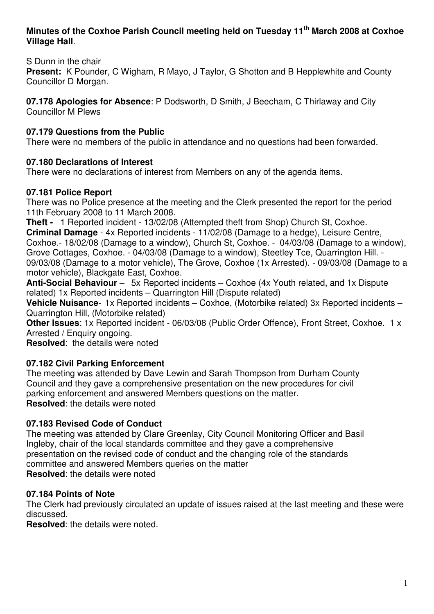### **Minutes of the Coxhoe Parish Council meeting held on Tuesday 11th March 2008 at Coxhoe Village Hall**.

S Dunn in the chair

**Present:** K Pounder, C Wigham, R Mayo, J Taylor, G Shotton and B Hepplewhite and County Councillor D Morgan.

**07.178 Apologies for Absence**: P Dodsworth, D Smith, J Beecham, C Thirlaway and City Councillor M Plews

# **07.179 Questions from the Public**

There were no members of the public in attendance and no questions had been forwarded.

# **07.180 Declarations of Interest**

There were no declarations of interest from Members on any of the agenda items.

## **07.181 Police Report**

There was no Police presence at the meeting and the Clerk presented the report for the period 11th February 2008 to 11 March 2008.

**Theft -** 1 Reported incident - 13/02/08 (Attempted theft from Shop) Church St, Coxhoe.

**Criminal Damage** - 4x Reported incidents - 11/02/08 (Damage to a hedge), Leisure Centre, Coxhoe.- 18/02/08 (Damage to a window), Church St, Coxhoe. - 04/03/08 (Damage to a window), Grove Cottages, Coxhoe. - 04/03/08 (Damage to a window), Steetley Tce, Quarrington Hill. - 09/03/08 (Damage to a motor vehicle), The Grove, Coxhoe (1x Arrested). - 09/03/08 (Damage to a motor vehicle), Blackgate East, Coxhoe.

**Anti-Social Behaviour** – 5x Reported incidents – Coxhoe (4x Youth related, and 1x Dispute related) 1x Reported incidents – Quarrington Hill (Dispute related)

**Vehicle Nuisance**- 1x Reported incidents – Coxhoe, (Motorbike related) 3x Reported incidents – Quarrington Hill, (Motorbike related)

**Other Issues**: 1x Reported incident - 06/03/08 (Public Order Offence), Front Street, Coxhoe. 1 x Arrested / Enquiry ongoing.

**Resolved**: the details were noted

# **07.182 Civil Parking Enforcement**

The meeting was attended by Dave Lewin and Sarah Thompson from Durham County Council and they gave a comprehensive presentation on the new procedures for civil parking enforcement and answered Members questions on the matter. **Resolved**: the details were noted

## **07.183 Revised Code of Conduct**

The meeting was attended by Clare Greenlay, City Council Monitoring Officer and Basil Ingleby, chair of the local standards committee and they gave a comprehensive presentation on the revised code of conduct and the changing role of the standards committee and answered Members queries on the matter **Resolved**: the details were noted

## **07.184 Points of Note**

The Clerk had previously circulated an update of issues raised at the last meeting and these were discussed.

**Resolved**: the details were noted.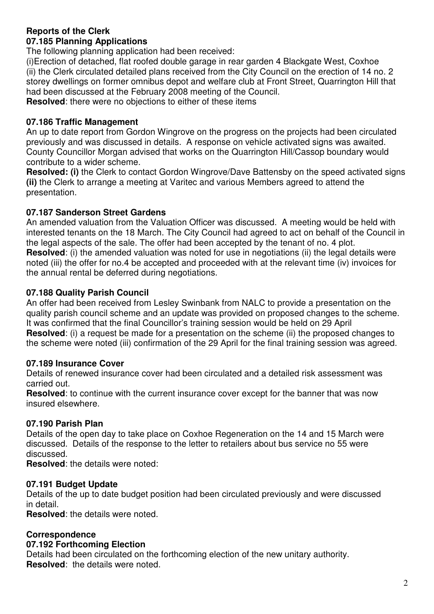### **Reports of the Clerk 07.185 Planning Applications**

The following planning application had been received:

(i)Erection of detached, flat roofed double garage in rear garden 4 Blackgate West, Coxhoe (ii) the Clerk circulated detailed plans received from the City Council on the erection of 14 no. 2 storey dwellings on former omnibus depot and welfare club at Front Street, Quarrington Hill that had been discussed at the February 2008 meeting of the Council.

**Resolved**: there were no objections to either of these items

# **07.186 Traffic Management**

An up to date report from Gordon Wingrove on the progress on the projects had been circulated previously and was discussed in details. A response on vehicle activated signs was awaited. County Councillor Morgan advised that works on the Quarrington Hill/Cassop boundary would contribute to a wider scheme.

**Resolved: (i)** the Clerk to contact Gordon Wingrove/Dave Battensby on the speed activated signs **(ii)** the Clerk to arrange a meeting at Varitec and various Members agreed to attend the presentation.

# **07.187 Sanderson Street Gardens**

An amended valuation from the Valuation Officer was discussed. A meeting would be held with interested tenants on the 18 March. The City Council had agreed to act on behalf of the Council in the legal aspects of the sale. The offer had been accepted by the tenant of no. 4 plot. **Resolved**: (i) the amended valuation was noted for use in negotiations (ii) the legal details were noted (iii) the offer for no.4 be accepted and proceeded with at the relevant time (iv) invoices for the annual rental be deferred during negotiations.

# **07.188 Quality Parish Council**

An offer had been received from Lesley Swinbank from NALC to provide a presentation on the quality parish council scheme and an update was provided on proposed changes to the scheme. It was confirmed that the final Councillor's training session would be held on 29 April **Resolved**: (i) a request be made for a presentation on the scheme (ii) the proposed changes to the scheme were noted (iii) confirmation of the 29 April for the final training session was agreed.

## **07.189 Insurance Cover**

Details of renewed insurance cover had been circulated and a detailed risk assessment was carried out.

**Resolved**: to continue with the current insurance cover except for the banner that was now insured elsewhere.

# **07.190 Parish Plan**

Details of the open day to take place on Coxhoe Regeneration on the 14 and 15 March were discussed. Details of the response to the letter to retailers about bus service no 55 were discussed.

**Resolved**: the details were noted:

# **07.191 Budget Update**

Details of the up to date budget position had been circulated previously and were discussed in detail.

**Resolved**: the details were noted.

## **Correspondence**

## **07.192 Forthcoming Election**

Details had been circulated on the forthcoming election of the new unitary authority. **Resolved**: the details were noted.